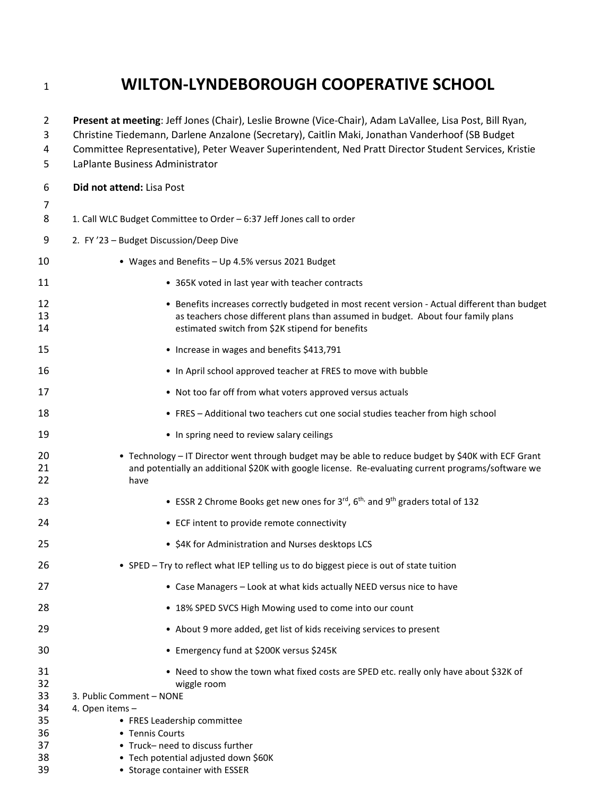## **WILTON-LYNDEBOROUGH COOPERATIVE SCHOOL**

| $\overline{2}$<br>3<br>4<br>5 | Present at meeting: Jeff Jones (Chair), Leslie Browne (Vice-Chair), Adam LaVallee, Lisa Post, Bill Ryan,<br>Christine Tiedemann, Darlene Anzalone (Secretary), Caitlin Maki, Jonathan Vanderhoof (SB Budget<br>Committee Representative), Peter Weaver Superintendent, Ned Pratt Director Student Services, Kristie<br>LaPlante Business Administrator |
|-------------------------------|--------------------------------------------------------------------------------------------------------------------------------------------------------------------------------------------------------------------------------------------------------------------------------------------------------------------------------------------------------|
| 6                             | Did not attend: Lisa Post                                                                                                                                                                                                                                                                                                                              |
| 7<br>8                        | 1. Call WLC Budget Committee to Order - 6:37 Jeff Jones call to order                                                                                                                                                                                                                                                                                  |
| 9                             | 2. FY '23 - Budget Discussion/Deep Dive                                                                                                                                                                                                                                                                                                                |
| 10                            | • Wages and Benefits - Up 4.5% versus 2021 Budget                                                                                                                                                                                                                                                                                                      |
| 11                            | • 365K voted in last year with teacher contracts                                                                                                                                                                                                                                                                                                       |
| 12<br>13<br>14                | • Benefits increases correctly budgeted in most recent version - Actual different than budget<br>as teachers chose different plans than assumed in budget. About four family plans<br>estimated switch from \$2K stipend for benefits                                                                                                                  |
| 15                            | • Increase in wages and benefits \$413,791                                                                                                                                                                                                                                                                                                             |
| 16                            | • In April school approved teacher at FRES to move with bubble                                                                                                                                                                                                                                                                                         |
| 17                            | • Not too far off from what voters approved versus actuals                                                                                                                                                                                                                                                                                             |
| 18                            | • FRES - Additional two teachers cut one social studies teacher from high school                                                                                                                                                                                                                                                                       |
| 19                            | • In spring need to review salary ceilings                                                                                                                                                                                                                                                                                                             |
| 20<br>21<br>22                | • Technology - IT Director went through budget may be able to reduce budget by \$40K with ECF Grant<br>and potentially an additional \$20K with google license. Re-evaluating current programs/software we<br>have                                                                                                                                     |
| 23                            | • ESSR 2 Chrome Books get new ones for 3rd, 6th, and 9th graders total of 132                                                                                                                                                                                                                                                                          |
| 24                            | • ECF intent to provide remote connectivity                                                                                                                                                                                                                                                                                                            |
| 25                            | • \$4K for Administration and Nurses desktops LCS                                                                                                                                                                                                                                                                                                      |
| 26                            | • SPED - Try to reflect what IEP telling us to do biggest piece is out of state tuition                                                                                                                                                                                                                                                                |
| 27                            | • Case Managers - Look at what kids actually NEED versus nice to have                                                                                                                                                                                                                                                                                  |
| 28                            | • 18% SPED SVCS High Mowing used to come into our count                                                                                                                                                                                                                                                                                                |
| 29                            | • About 9 more added, get list of kids receiving services to present                                                                                                                                                                                                                                                                                   |
| 30                            | • Emergency fund at \$200K versus \$245K                                                                                                                                                                                                                                                                                                               |
| 31<br>32<br>33<br>34          | . Need to show the town what fixed costs are SPED etc. really only have about \$32K of<br>wiggle room<br>3. Public Comment - NONE<br>4. Open items -                                                                                                                                                                                                   |
| 35<br>36                      | • FRES Leadership committee<br>• Tennis Courts                                                                                                                                                                                                                                                                                                         |
| 37<br>38                      | • Truck-need to discuss further<br>• Tech potential adjusted down \$60K                                                                                                                                                                                                                                                                                |
| 39                            | • Storage container with ESSER                                                                                                                                                                                                                                                                                                                         |